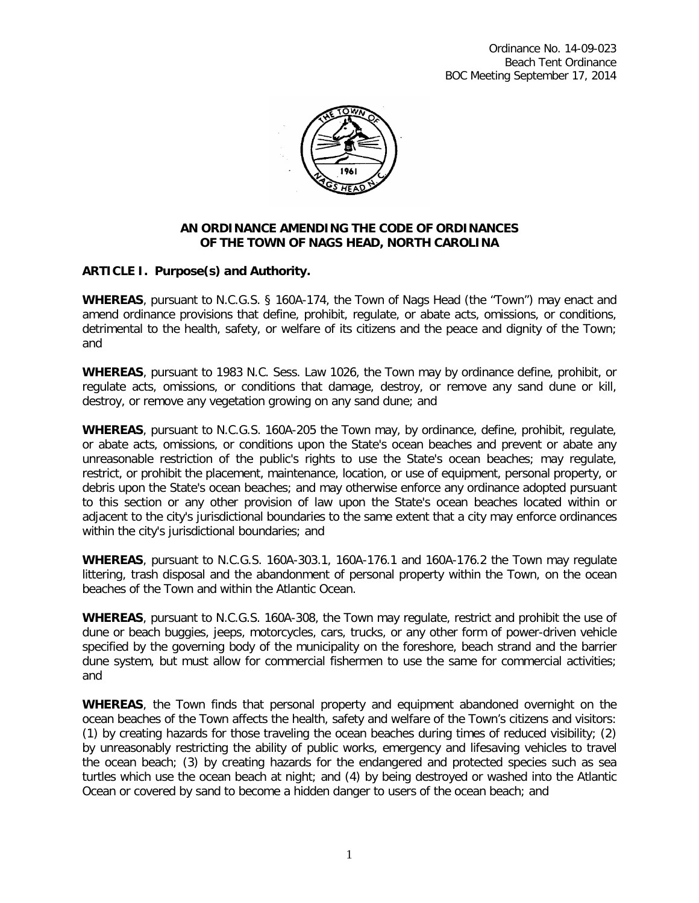

### **AN ORDINANCE AMENDING THE CODE OF ORDINANCES OF THE TOWN OF NAGS HEAD, NORTH CAROLINA**

# **ARTICLE I. Purpose(s) and Authority.**

**WHEREAS**, pursuant to N.C.G.S. § 160A-174, the Town of Nags Head (the "Town") may enact and amend ordinance provisions that define, prohibit, regulate, or abate acts, omissions, or conditions, detrimental to the health, safety, or welfare of its citizens and the peace and dignity of the Town; and

**WHEREAS**, pursuant to 1983 N.C. Sess. Law 1026, the Town may by ordinance define, prohibit, or regulate acts, omissions, or conditions that damage, destroy, or remove any sand dune or kill, destroy, or remove any vegetation growing on any sand dune; and

**WHEREAS**, pursuant to N.C.G.S. 160A-205 the Town may, by ordinance, define, prohibit, regulate, or abate acts, omissions, or conditions upon the State's ocean beaches and prevent or abate any unreasonable restriction of the public's rights to use the State's ocean beaches; may regulate, restrict, or prohibit the placement, maintenance, location, or use of equipment, personal property, or debris upon the State's ocean beaches; and may otherwise enforce any ordinance adopted pursuant to this section or any other provision of law upon the State's ocean beaches located within or adjacent to the city's jurisdictional boundaries to the same extent that a city may enforce ordinances within the city's jurisdictional boundaries; and

**WHEREAS**, pursuant to N.C.G.S. 160A-303.1, 160A-176.1 and 160A-176.2 the Town may regulate littering, trash disposal and the abandonment of personal property within the Town, on the ocean beaches of the Town and within the Atlantic Ocean.

**WHEREAS**, pursuant to N.C.G.S. 160A-308, the Town may regulate, restrict and prohibit the use of dune or beach buggies, jeeps, motorcycles, cars, trucks, or any other form of power-driven vehicle specified by the governing body of the municipality on the foreshore, beach strand and the barrier dune system, but must allow for commercial fishermen to use the same for commercial activities; and

**WHEREAS**, the Town finds that personal property and equipment abandoned overnight on the ocean beaches of the Town affects the health, safety and welfare of the Town's citizens and visitors: (1) by creating hazards for those traveling the ocean beaches during times of reduced visibility; (2) by unreasonably restricting the ability of public works, emergency and lifesaving vehicles to travel the ocean beach; (3) by creating hazards for the endangered and protected species such as sea turtles which use the ocean beach at night; and (4) by being destroyed or washed into the Atlantic Ocean or covered by sand to become a hidden danger to users of the ocean beach; and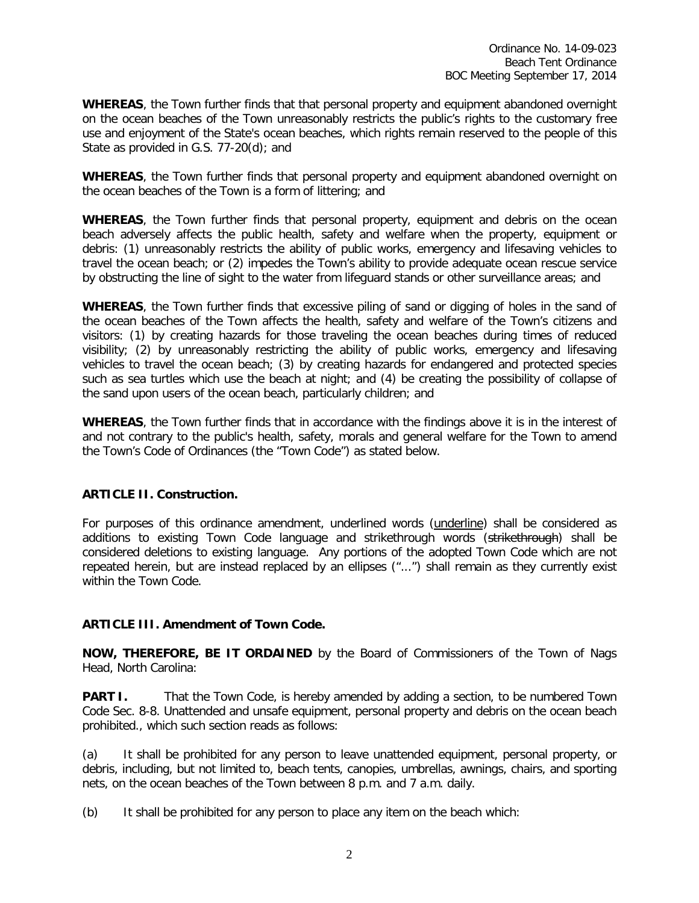**WHEREAS**, the Town further finds that that personal property and equipment abandoned overnight on the ocean beaches of the Town unreasonably restricts the public's rights to the customary free use and enjoyment of the State's ocean beaches, which rights remain reserved to the people of this State as provided in G.S. 77-20(d); and

**WHEREAS**, the Town further finds that personal property and equipment abandoned overnight on the ocean beaches of the Town is a form of littering; and

**WHEREAS**, the Town further finds that personal property, equipment and debris on the ocean beach adversely affects the public health, safety and welfare when the property, equipment or debris: (1) unreasonably restricts the ability of public works, emergency and lifesaving vehicles to travel the ocean beach; or (2) impedes the Town's ability to provide adequate ocean rescue service by obstructing the line of sight to the water from lifeguard stands or other surveillance areas; and

**WHEREAS**, the Town further finds that excessive piling of sand or digging of holes in the sand of the ocean beaches of the Town affects the health, safety and welfare of the Town's citizens and visitors: (1) by creating hazards for those traveling the ocean beaches during times of reduced visibility; (2) by unreasonably restricting the ability of public works, emergency and lifesaving vehicles to travel the ocean beach; (3) by creating hazards for endangered and protected species such as sea turtles which use the beach at night; and (4) be creating the possibility of collapse of the sand upon users of the ocean beach, particularly children; and

**WHEREAS**, the Town further finds that in accordance with the findings above it is in the interest of and not contrary to the public's health, safety, morals and general welfare for the Town to amend the Town's Code of Ordinances (the "Town Code") as stated below.

# **ARTICLE II. Construction.**

For purposes of this ordinance amendment, underlined words (underline) shall be considered as additions to existing Town Code language and strikethrough words (strikethrough) shall be considered deletions to existing language. Any portions of the adopted Town Code which are not repeated herein, but are instead replaced by an ellipses ("...") shall remain as they currently exist within the Town Code.

# **ARTICLE III. Amendment of Town Code.**

**NOW, THEREFORE, BE IT ORDAINED** by the Board of Commissioners of the Town of Nags Head, North Carolina:

**PART I.** That the Town Code, is hereby amended by adding a section, to be numbered Town Code Sec. 8-8. Unattended and unsafe equipment, personal property and debris on the ocean beach prohibited., which such section reads as follows:

(a) It shall be prohibited for any person to leave unattended equipment, personal property, or debris, including, but not limited to, beach tents, canopies, umbrellas, awnings, chairs, and sporting nets, on the ocean beaches of the Town between 8 p.m. and 7 a.m. daily.

(b) It shall be prohibited for any person to place any item on the beach which: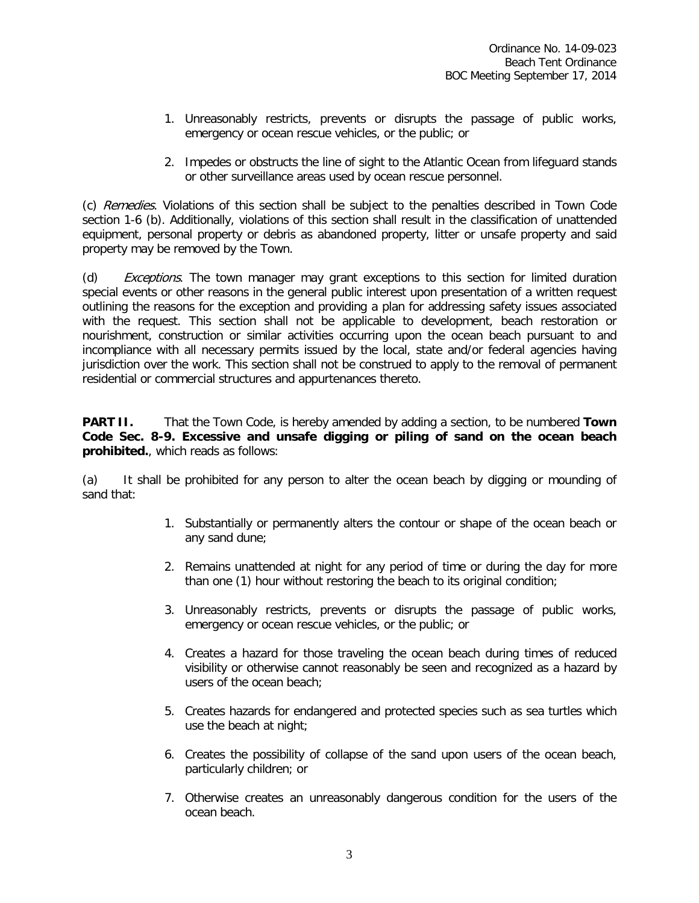- 1. Unreasonably restricts, prevents or disrupts the passage of public works, emergency or ocean rescue vehicles, or the public; or
- 2. Impedes or obstructs the line of sight to the Atlantic Ocean from lifeguard stands or other surveillance areas used by ocean rescue personnel.

(c) Remedies. Violations of this section shall be subject to the penalties described in Town Code section 1-6 (b). Additionally, violations of this section shall result in the classification of unattended equipment, personal property or debris as abandoned property, litter or unsafe property and said property may be removed by the Town.

(d) *Exceptions*. The town manager may grant exceptions to this section for limited duration special events or other reasons in the general public interest upon presentation of a written request outlining the reasons for the exception and providing a plan for addressing safety issues associated with the request. This section shall not be applicable to development, beach restoration or nourishment, construction or similar activities occurring upon the ocean beach pursuant to and incompliance with all necessary permits issued by the local, state and/or federal agencies having jurisdiction over the work. This section shall not be construed to apply to the removal of permanent residential or commercial structures and appurtenances thereto.

**PART II.** That the Town Code, is hereby amended by adding a section, to be numbered **Town Code Sec. 8-9. Excessive and unsafe digging or piling of sand on the ocean beach prohibited.**, which reads as follows:

(a) It shall be prohibited for any person to alter the ocean beach by digging or mounding of sand that:

- 1. Substantially or permanently alters the contour or shape of the ocean beach or any sand dune;
- 2. Remains unattended at night for any period of time or during the day for more than one (1) hour without restoring the beach to its original condition;
- 3. Unreasonably restricts, prevents or disrupts the passage of public works, emergency or ocean rescue vehicles, or the public; or
- 4. Creates a hazard for those traveling the ocean beach during times of reduced visibility or otherwise cannot reasonably be seen and recognized as a hazard by users of the ocean beach;
- 5. Creates hazards for endangered and protected species such as sea turtles which use the beach at night;
- 6. Creates the possibility of collapse of the sand upon users of the ocean beach, particularly children; or
- 7. Otherwise creates an unreasonably dangerous condition for the users of the ocean beach.